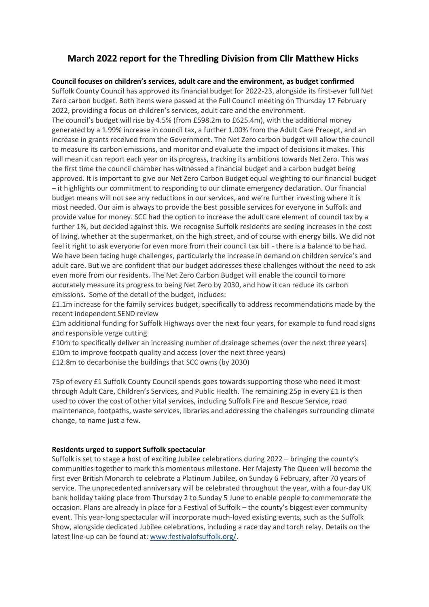# **March 2022 report for the Thredling Division from Cllr Matthew Hicks**

### **Council focuses on children's services, adult care and the environment, as budget confirmed**

Suffolk County Council has approved its financial budget for 2022-23, alongside its first-ever full Net Zero carbon budget. Both items were passed at the Full Council meeting on Thursday 17 February 2022, providing a focus on children's services, adult care and the environment.

The council's budget will rise by 4.5% (from £598.2m to £625.4m), with the additional money generated by a 1.99% increase in council tax, a further 1.00% from the Adult Care Precept, and an increase in grants received from the Government. The Net Zero carbon budget will allow the council to measure its carbon emissions, and monitor and evaluate the impact of decisions it makes. This will mean it can report each year on its progress, tracking its ambitions towards Net Zero. This was the first time the council chamber has witnessed a financial budget and a carbon budget being approved. It is important to give our Net Zero Carbon Budget equal weighting to our financial budget – it highlights our commitment to responding to our climate emergency declaration. Our financial budget means will not see any reductions in our services, and we're further investing where it is most needed. Our aim is always to provide the best possible services for everyone in Suffolk and provide value for money. SCC had the option to increase the adult care element of council tax by a further 1%, but decided against this. We recognise Suffolk residents are seeing increases in the cost of living, whether at the supermarket, on the high street, and of course with energy bills. We did not feel it right to ask everyone for even more from their council tax bill - there is a balance to be had. We have been facing huge challenges, particularly the increase in demand on children service's and adult care. But we are confident that our budget addresses these challenges without the need to ask even more from our residents. The Net Zero Carbon Budget will enable the council to more accurately measure its progress to being Net Zero by 2030, and how it can reduce its carbon emissions. Some of the detail of the budget, includes:

£1.1m increase for the family services budget, specifically to address recommendations made by the recent independent SEND review

£1m additional funding for Suffolk Highways over the next four years, for example to fund road signs and responsible verge cutting

£10m to specifically deliver an increasing number of drainage schemes (over the next three years) £10m to improve footpath quality and access (over the next three years)

£12.8m to decarbonise the buildings that SCC owns (by 2030)

75p of every £1 Suffolk County Council spends goes towards supporting those who need it most through Adult Care, Children's Services, and Public Health. The remaining 25p in every £1 is then used to cover the cost of other vital services, including Suffolk Fire and Rescue Service, road maintenance, footpaths, waste services, libraries and addressing the challenges surrounding climate change, to name just a few.

# **Residents urged to support Suffolk spectacular**

Suffolk is set to stage a host of exciting Jubilee celebrations during 2022 – bringing the county's communities together to mark this momentous milestone. Her Majesty The Queen will become the first ever British Monarch to celebrate a Platinum Jubilee, on Sunday 6 February, after 70 years of service. The unprecedented anniversary will be celebrated throughout the year, with a four-day UK bank holiday taking place from Thursday 2 to Sunday 5 June to enable people to commemorate the occasion. Plans are already in place for a Festival of Suffolk – the county's biggest ever community event. This year-long spectacular will incorporate much-loved existing events, such as the Suffolk Show, alongside dedicated Jubilee celebrations, including a race day and torch relay. Details on the latest line-up can be found at: [www.festivalofsuffolk.org/.](https://www.festivalofsuffolk.org/)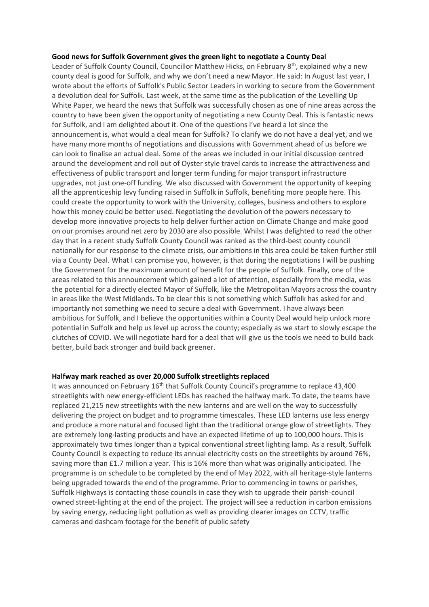#### **Good news for Suffolk Government gives the green light to negotiate a County Deal**

Leader of Suffolk County Council, Councillor Matthew Hicks, on February 8<sup>th</sup>, explained why a new county deal is good for Suffolk, and why we don't need a new Mayor. He said: In August last year, I wrote about the efforts of Suffolk's Public Sector Leaders in working to secure from the Government a devolution deal for Suffolk. Last week, at the same time as the publication of the Levelling Up White Paper, we heard the news that Suffolk was successfully chosen as one of nine areas across the country to have been given the opportunity of negotiating a new County Deal. This is fantastic news for Suffolk, and I am delighted about it. One of the questions I've heard a lot since the announcement is, what would a deal mean for Suffolk? To clarify we do not have a deal yet, and we have many more months of negotiations and discussions with Government ahead of us before we can look to finalise an actual deal. Some of the areas we included in our initial discussion centred around the development and roll out of Oyster style travel cards to increase the attractiveness and effectiveness of public transport and longer term funding for major transport infrastructure upgrades, not just one-off funding. We also discussed with Government the opportunity of keeping all the apprenticeship levy funding raised in Suffolk in Suffolk, benefiting more people here. This could create the opportunity to work with the University, colleges, business and others to explore how this money could be better used. Negotiating the devolution of the powers necessary to develop more innovative projects to help deliver further action on Climate Change and make good on our promises around net zero by 2030 are also possible. Whilst I was delighted to read the other day that in a recent study Suffolk County Council was ranked as the third-best county council nationally for our response to the climate crisis, our ambitions in this area could be taken further still via a County Deal. What I can promise you, however, is that during the negotiations I will be pushing the Government for the maximum amount of benefit for the people of Suffolk. Finally, one of the areas related to this announcement which gained a lot of attention, especially from the media, was the potential for a directly elected Mayor of Suffolk, like the Metropolitan Mayors across the country in areas like the West Midlands. To be clear this is not something which Suffolk has asked for and importantly not something we need to secure a deal with Government. I have always been ambitious for Suffolk, and I believe the opportunities within a County Deal would help unlock more potential in Suffolk and help us level up across the county; especially as we start to slowly escape the clutches of COVID. We will negotiate hard for a deal that will give us the tools we need to build back better, build back stronger and build back greener.

#### **Halfway mark reached as over 20,000 Suffolk streetlights replaced**

It was announced on February  $16<sup>th</sup>$  that Suffolk County Council's programme to replace 43,400 streetlights with new energy-efficient LEDs has reached the halfway mark. To date, the teams have replaced 21,215 new streetlights with the new lanterns and are well on the way to successfully delivering the project on budget and to programme timescales. These LED lanterns use less energy and produce a more natural and focused light than the traditional orange glow of streetlights. They are extremely long-lasting products and have an expected lifetime of up to 100,000 hours. This is approximately two times longer than a typical conventional street lighting lamp. As a result, Suffolk County Council is expecting to reduce its annual electricity costs on the streetlights by around 76%, saving more than £1.7 million a year. This is 16% more than what was originally anticipated. The programme is on schedule to be completed by the end of May 2022, with all heritage-style lanterns being upgraded towards the end of the programme. Prior to commencing in towns or parishes, Suffolk Highways is contacting those councils in case they wish to upgrade their parish-council owned street-lighting at the end of the project. The project will see a reduction in carbon emissions by saving energy, reducing light pollution as well as providing clearer images on CCTV, traffic cameras and dashcam footage for the benefit of public safety